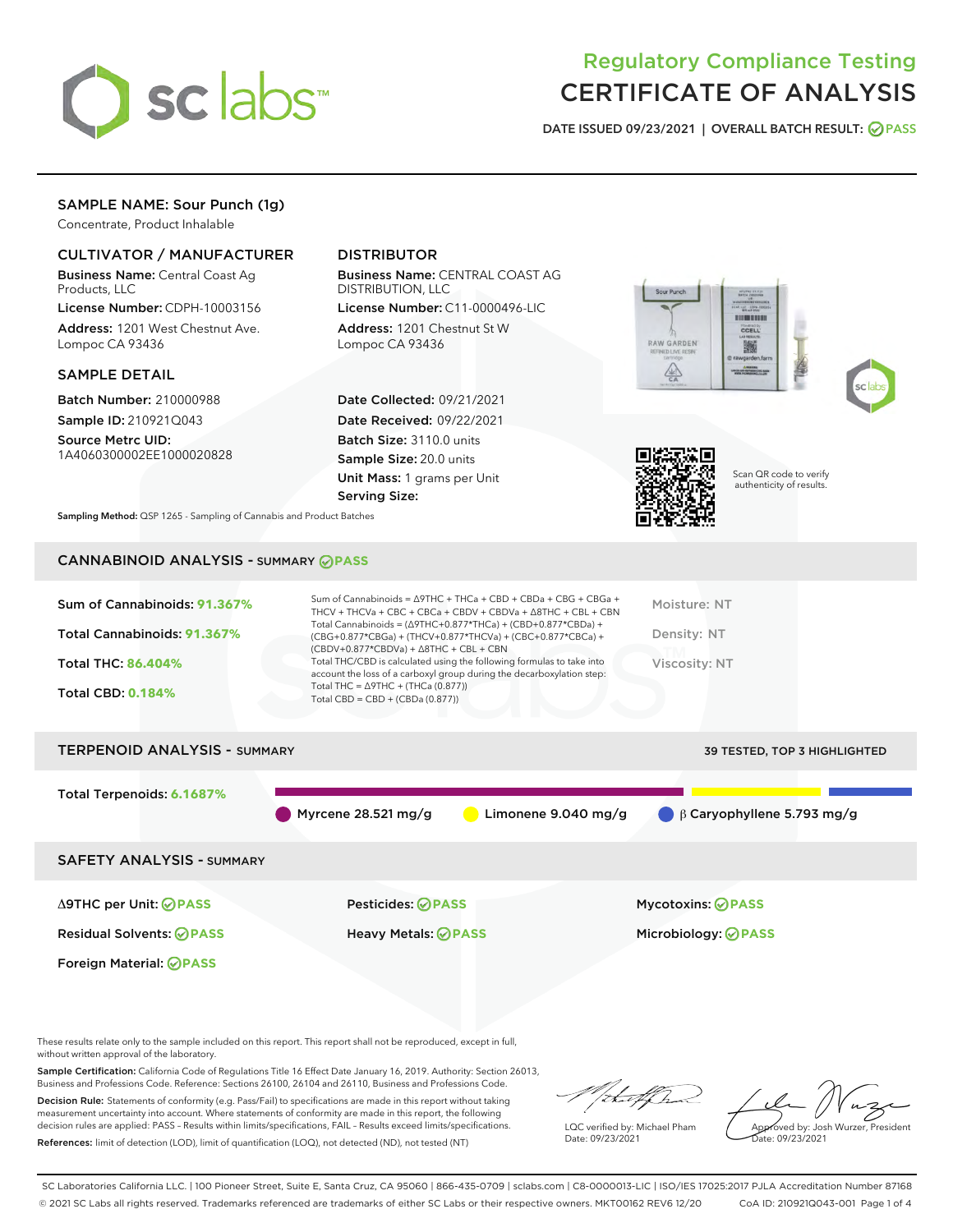

# Regulatory Compliance Testing CERTIFICATE OF ANALYSIS

DATE ISSUED 09/23/2021 | OVERALL BATCH RESULT: @ PASS

# SAMPLE NAME: Sour Punch (1g)

Concentrate, Product Inhalable

# CULTIVATOR / MANUFACTURER

Business Name: Central Coast Ag Products, LLC

License Number: CDPH-10003156 Address: 1201 West Chestnut Ave. Lompoc CA 93436

## SAMPLE DETAIL

Batch Number: 210000988 Sample ID: 210921Q043

Source Metrc UID: 1A4060300002EE1000020828

# DISTRIBUTOR

Business Name: CENTRAL COAST AG DISTRIBUTION, LLC

License Number: C11-0000496-LIC Address: 1201 Chestnut St W Lompoc CA 93436

Date Collected: 09/21/2021 Date Received: 09/22/2021 Batch Size: 3110.0 units Sample Size: 20.0 units Unit Mass: 1 grams per Unit Serving Size:







Scan QR code to verify authenticity of results.

Sampling Method: QSP 1265 - Sampling of Cannabis and Product Batches

# CANNABINOID ANALYSIS - SUMMARY **PASS**

| Sum of Cannabinoids: 91.367%<br>Total Cannabinoids: 91.367%<br><b>Total THC: 86,404%</b><br><b>Total CBD: 0.184%</b> | Sum of Cannabinoids = $\triangle$ 9THC + THCa + CBD + CBDa + CBG + CBGa +<br>THCV + THCVa + CBC + CBCa + CBDV + CBDVa + $\land$ 8THC + CBL + CBN<br>Total Cannabinoids = $(\Delta$ 9THC+0.877*THCa) + (CBD+0.877*CBDa) +<br>(CBG+0.877*CBGa) + (THCV+0.877*THCVa) + (CBC+0.877*CBCa) +<br>$(CBDV+0.877*CBDVa) + \Delta 8THC + CBL + CBN$<br>Total THC/CBD is calculated using the following formulas to take into<br>account the loss of a carboxyl group during the decarboxylation step:<br>Total THC = $\triangle$ 9THC + (THCa (0.877))<br>Total CBD = $CBD + (CBDa (0.877))$ | Moisture: NT<br>Density: NT<br>Viscosity: NT |
|----------------------------------------------------------------------------------------------------------------------|-----------------------------------------------------------------------------------------------------------------------------------------------------------------------------------------------------------------------------------------------------------------------------------------------------------------------------------------------------------------------------------------------------------------------------------------------------------------------------------------------------------------------------------------------------------------------------------|----------------------------------------------|
| <b>TERPENOID ANALYSIS - SUMMARY</b>                                                                                  |                                                                                                                                                                                                                                                                                                                                                                                                                                                                                                                                                                                   | 39 TESTED, TOP 3 HIGHLIGHTED                 |
| Total Terpenoids: 6.1687%                                                                                            |                                                                                                                                                                                                                                                                                                                                                                                                                                                                                                                                                                                   |                                              |
|                                                                                                                      | Myrcene 28.521 mg/g<br>Limonene $9.040$ mg/g                                                                                                                                                                                                                                                                                                                                                                                                                                                                                                                                      | B Caryophyllene 5.793 mg/g                   |

SAFETY ANALYSIS - SUMMARY

Δ9THC per Unit: **PASS** Pesticides: **PASS** Mycotoxins: **PASS**

Foreign Material: **PASS**

Residual Solvents: **PASS** Heavy Metals: **PASS** Microbiology: **PASS**

These results relate only to the sample included on this report. This report shall not be reproduced, except in full, without written approval of the laboratory.

Sample Certification: California Code of Regulations Title 16 Effect Date January 16, 2019. Authority: Section 26013, Business and Professions Code. Reference: Sections 26100, 26104 and 26110, Business and Professions Code.

Decision Rule: Statements of conformity (e.g. Pass/Fail) to specifications are made in this report without taking measurement uncertainty into account. Where statements of conformity are made in this report, the following decision rules are applied: PASS – Results within limits/specifications, FAIL – Results exceed limits/specifications. References: limit of detection (LOD), limit of quantification (LOQ), not detected (ND), not tested (NT)

that f Tr

LQC verified by: Michael Pham Date: 09/23/2021

Approved by: Josh Wurzer, President Date: 09/23/2021

SC Laboratories California LLC. | 100 Pioneer Street, Suite E, Santa Cruz, CA 95060 | 866-435-0709 | sclabs.com | C8-0000013-LIC | ISO/IES 17025:2017 PJLA Accreditation Number 87168 © 2021 SC Labs all rights reserved. Trademarks referenced are trademarks of either SC Labs or their respective owners. MKT00162 REV6 12/20 CoA ID: 210921Q043-001 Page 1 of 4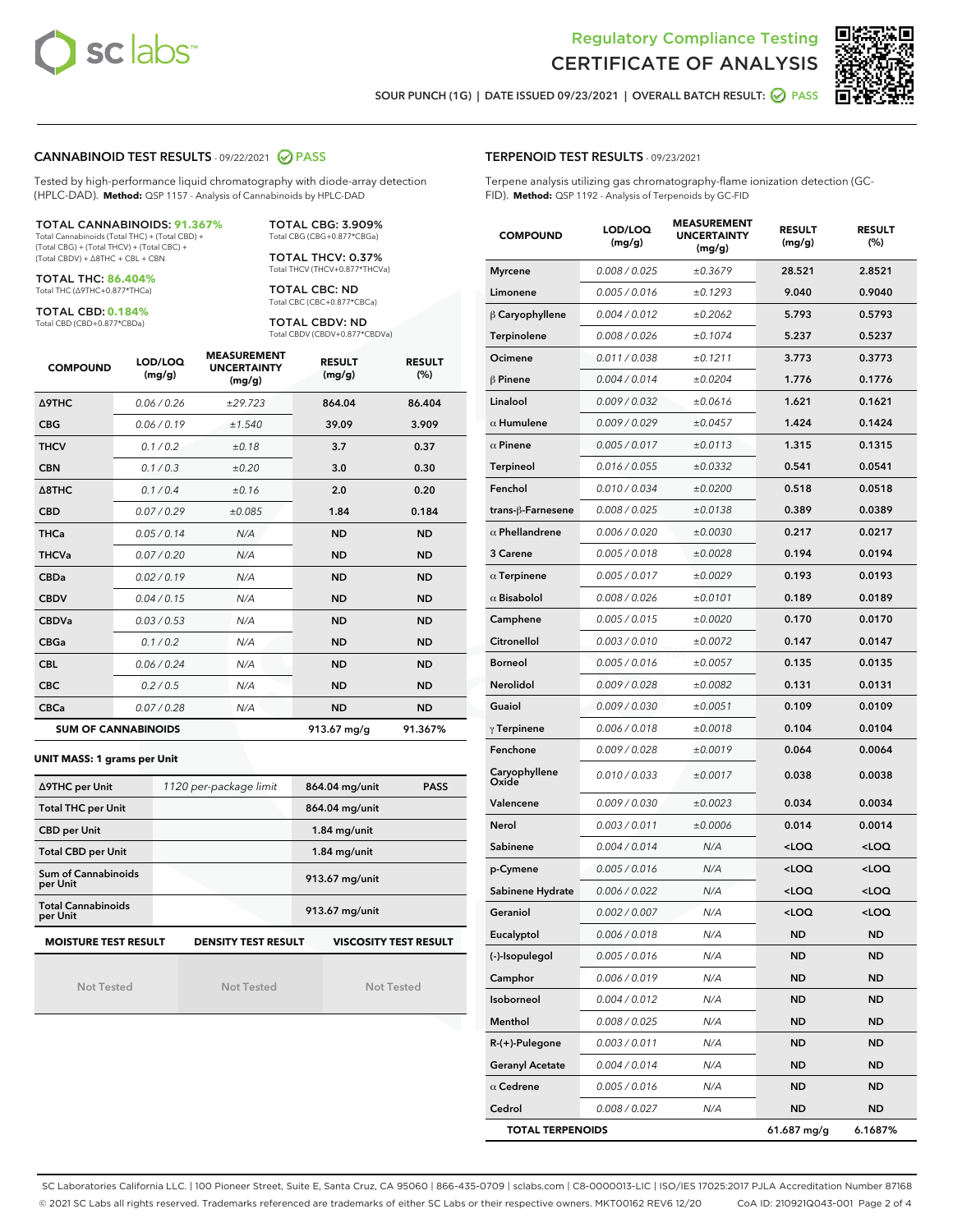



SOUR PUNCH (1G) | DATE ISSUED 09/23/2021 | OVERALL BATCH RESULT: @ PASS

### CANNABINOID TEST RESULTS - 09/22/2021 2 PASS

Tested by high-performance liquid chromatography with diode-array detection (HPLC-DAD). **Method:** QSP 1157 - Analysis of Cannabinoids by HPLC-DAD

#### TOTAL CANNABINOIDS: **91.367%**

Total Cannabinoids (Total THC) + (Total CBD) + (Total CBG) + (Total THCV) + (Total CBC) + (Total CBDV) + ∆8THC + CBL + CBN

TOTAL THC: **86.404%** Total THC (∆9THC+0.877\*THCa)

TOTAL CBD: **0.184%**

Total CBD (CBD+0.877\*CBDa)

TOTAL CBG: 3.909% Total CBG (CBG+0.877\*CBGa)

TOTAL THCV: 0.37% Total THCV (THCV+0.877\*THCVa)

TOTAL CBC: ND Total CBC (CBC+0.877\*CBCa)

TOTAL CBDV: ND Total CBDV (CBDV+0.877\*CBDVa)

| <b>COMPOUND</b>  | LOD/LOQ<br>(mg/g)          | <b>MEASUREMENT</b><br><b>UNCERTAINTY</b><br>(mg/g) | <b>RESULT</b><br>(mg/g) | <b>RESULT</b><br>(%) |
|------------------|----------------------------|----------------------------------------------------|-------------------------|----------------------|
| <b>A9THC</b>     | 0.06 / 0.26                | ±29.723                                            | 864.04                  | 86.404               |
| <b>CBG</b>       | 0.06/0.19                  | ±1.540                                             | 39.09                   | 3.909                |
| <b>THCV</b>      | 0.1 / 0.2                  | ±0.18                                              | 3.7                     | 0.37                 |
| <b>CBN</b>       | 0.1/0.3                    | ±0.20                                              | 3.0                     | 0.30                 |
| $\triangle$ 8THC | 0.1/0.4                    | ±0.16                                              | 2.0                     | 0.20                 |
| <b>CBD</b>       | 0.07/0.29                  | ±0.085                                             | 1.84                    | 0.184                |
| <b>THCa</b>      | 0.05/0.14                  | N/A                                                | <b>ND</b>               | <b>ND</b>            |
| <b>THCVa</b>     | 0.07 / 0.20                | N/A                                                | <b>ND</b>               | <b>ND</b>            |
| <b>CBDa</b>      | 0.02/0.19                  | N/A                                                | <b>ND</b>               | <b>ND</b>            |
| <b>CBDV</b>      | 0.04/0.15                  | N/A                                                | <b>ND</b>               | <b>ND</b>            |
| <b>CBDVa</b>     | 0.03/0.53                  | N/A                                                | <b>ND</b>               | <b>ND</b>            |
| <b>CBGa</b>      | 0.1/0.2                    | N/A                                                | <b>ND</b>               | <b>ND</b>            |
| <b>CBL</b>       | 0.06 / 0.24                | N/A                                                | <b>ND</b>               | <b>ND</b>            |
| <b>CBC</b>       | 0.2 / 0.5                  | N/A                                                | <b>ND</b>               | <b>ND</b>            |
| <b>CBCa</b>      | 0.07 / 0.28                | N/A                                                | <b>ND</b>               | <b>ND</b>            |
|                  | <b>SUM OF CANNABINOIDS</b> |                                                    | 913.67 mg/g             | 91.367%              |

#### **UNIT MASS: 1 grams per Unit**

| ∆9THC per Unit                                                                            | 1120 per-package limit | 864.04 mg/unit<br><b>PASS</b> |  |  |  |
|-------------------------------------------------------------------------------------------|------------------------|-------------------------------|--|--|--|
| <b>Total THC per Unit</b>                                                                 |                        | 864.04 mg/unit                |  |  |  |
| <b>CBD per Unit</b>                                                                       |                        | $1.84$ mg/unit                |  |  |  |
| <b>Total CBD per Unit</b>                                                                 |                        | $1.84$ mg/unit                |  |  |  |
| Sum of Cannabinoids<br>per Unit                                                           |                        | 913.67 mg/unit                |  |  |  |
| <b>Total Cannabinoids</b><br>per Unit                                                     |                        | 913.67 mg/unit                |  |  |  |
| <b>MOISTURE TEST RESULT</b><br><b>VISCOSITY TEST RESULT</b><br><b>DENSITY TEST RESULT</b> |                        |                               |  |  |  |

Not Tested

Not Tested

Not Tested

Terpene analysis utilizing gas chromatography-flame ionization detection (GC-FID). **Method:** QSP 1192 - Analysis of Terpenoids by GC-FID

| <b>COMPOUND</b>         | LOD/LOQ<br>(mg/g) | <b>MEASUREMENT</b><br><b>UNCERTAINTY</b><br>(mg/g) | <b>RESULT</b><br>(mg/g)                          | <b>RESULT</b><br>(%) |
|-------------------------|-------------------|----------------------------------------------------|--------------------------------------------------|----------------------|
| <b>Myrcene</b>          | 0.008 / 0.025     | ±0.3679                                            | 28.521                                           | 2.8521               |
| Limonene                | 0.005 / 0.016     | ±0.1293                                            | 9.040                                            | 0.9040               |
| $\beta$ Caryophyllene   | 0.004 / 0.012     | ±0.2062                                            | 5.793                                            | 0.5793               |
| Terpinolene             | 0.008 / 0.026     | ±0.1074                                            | 5.237                                            | 0.5237               |
| Ocimene                 | 0.011 / 0.038     | ±0.1211                                            | 3.773                                            | 0.3773               |
| $\beta$ Pinene          | 0.004 / 0.014     | ±0.0204                                            | 1.776                                            | 0.1776               |
| Linalool                | 0.009 / 0.032     | ±0.0616                                            | 1.621                                            | 0.1621               |
| $\alpha$ Humulene       | 0.009/0.029       | ±0.0457                                            | 1.424                                            | 0.1424               |
| $\alpha$ Pinene         | 0.005 / 0.017     | ±0.0113                                            | 1.315                                            | 0.1315               |
| <b>Terpineol</b>        | 0.016 / 0.055     | ±0.0332                                            | 0.541                                            | 0.0541               |
| Fenchol                 | 0.010 / 0.034     | ±0.0200                                            | 0.518                                            | 0.0518               |
| trans-β-Farnesene       | 0.008 / 0.025     | ±0.0138                                            | 0.389                                            | 0.0389               |
| $\alpha$ Phellandrene   | 0.006 / 0.020     | ±0.0030                                            | 0.217                                            | 0.0217               |
| 3 Carene                | 0.005 / 0.018     | ±0.0028                                            | 0.194                                            | 0.0194               |
| $\alpha$ Terpinene      | 0.005 / 0.017     | ±0.0029                                            | 0.193                                            | 0.0193               |
| $\alpha$ Bisabolol      | 0.008 / 0.026     | ±0.0101                                            | 0.189                                            | 0.0189               |
| Camphene                | 0.005 / 0.015     | ±0.0020                                            | 0.170                                            | 0.0170               |
| Citronellol             | 0.003 / 0.010     | ±0.0072                                            | 0.147                                            | 0.0147               |
| <b>Borneol</b>          | 0.005 / 0.016     | ±0.0057                                            | 0.135                                            | 0.0135               |
| Nerolidol               | 0.009 / 0.028     | ±0.0082                                            | 0.131                                            | 0.0131               |
| Guaiol                  | 0.009 / 0.030     | ±0.0051                                            | 0.109                                            | 0.0109               |
| $\gamma$ Terpinene      | 0.006 / 0.018     | ±0.0018                                            | 0.104                                            | 0.0104               |
| Fenchone                | 0.009 / 0.028     | ±0.0019                                            | 0.064                                            | 0.0064               |
| Caryophyllene<br>Oxide  | 0.010 / 0.033     | ±0.0017                                            | 0.038                                            | 0.0038               |
| Valencene               | 0.009 / 0.030     | ±0.0023                                            | 0.034                                            | 0.0034               |
| Nerol                   | 0.003 / 0.011     | ±0.0006                                            | 0.014                                            | 0.0014               |
| Sabinene                | 0.004 / 0.014     | N/A                                                | $<$ LOQ                                          | $<$ LOQ              |
| p-Cymene                | 0.005 / 0.016     | N/A                                                | <loq< th=""><th><loq< th=""></loq<></th></loq<>  | <loq< th=""></loq<>  |
| Sabinene Hydrate        | 0.006 / 0.022     | N/A                                                | <loq< th=""><th><loq< th=""></loq<></th></loq<>  | <loq< th=""></loq<>  |
| Geraniol                | 0.002 / 0.007     | N/A                                                | <loq< th=""><th><math>&lt;</math>LOQ</th></loq<> | $<$ LOQ              |
| Eucalyptol              | 0.006 / 0.018     | N/A                                                | ND                                               | ND                   |
| (-)-Isopulegol          | 0.005 / 0.016     | N/A                                                | <b>ND</b>                                        | ND                   |
| Camphor                 | 0.006 / 0.019     | N/A                                                | <b>ND</b>                                        | <b>ND</b>            |
| Isoborneol              | 0.004 / 0.012     | N/A                                                | ND                                               | ND                   |
| Menthol                 | 0.008 / 0.025     | N/A                                                | <b>ND</b>                                        | ND                   |
| $R-(+)$ -Pulegone       | 0.003 / 0.011     | N/A                                                | ND                                               | <b>ND</b>            |
| <b>Geranyl Acetate</b>  | 0.004 / 0.014     | N/A                                                | <b>ND</b>                                        | ND                   |
| $\alpha$ Cedrene        | 0.005 / 0.016     | N/A                                                | ND                                               | ND                   |
| Cedrol                  | 0.008 / 0.027     | N/A                                                | <b>ND</b>                                        | ND                   |
| <b>TOTAL TERPENOIDS</b> |                   |                                                    | 61.687 mg/g                                      | 6.1687%              |

SC Laboratories California LLC. | 100 Pioneer Street, Suite E, Santa Cruz, CA 95060 | 866-435-0709 | sclabs.com | C8-0000013-LIC | ISO/IES 17025:2017 PJLA Accreditation Number 87168 © 2021 SC Labs all rights reserved. Trademarks referenced are trademarks of either SC Labs or their respective owners. MKT00162 REV6 12/20 CoA ID: 210921Q043-001 Page 2 of 4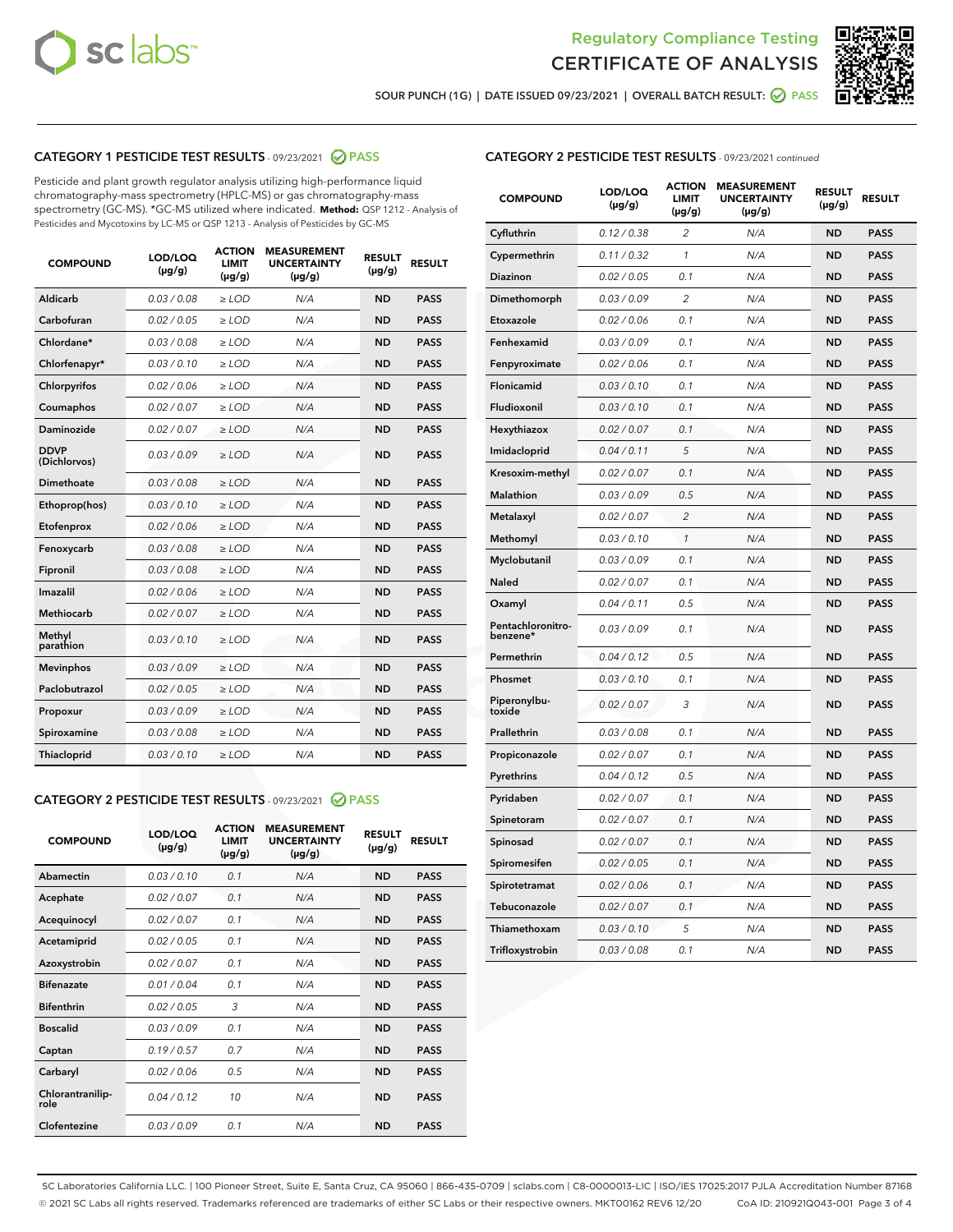



SOUR PUNCH (1G) | DATE ISSUED 09/23/2021 | OVERALL BATCH RESULT:  $\bigcirc$  PASS

# CATEGORY 1 PESTICIDE TEST RESULTS - 09/23/2021 2 PASS

Pesticide and plant growth regulator analysis utilizing high-performance liquid chromatography-mass spectrometry (HPLC-MS) or gas chromatography-mass spectrometry (GC-MS). \*GC-MS utilized where indicated. **Method:** QSP 1212 - Analysis of Pesticides and Mycotoxins by LC-MS or QSP 1213 - Analysis of Pesticides by GC-MS

| <b>COMPOUND</b>             | LOD/LOQ<br>$(\mu g/g)$ | <b>ACTION</b><br><b>LIMIT</b><br>$(\mu g/g)$ | <b>MEASUREMENT</b><br><b>UNCERTAINTY</b><br>$(\mu g/g)$ | <b>RESULT</b><br>$(\mu g/g)$ | <b>RESULT</b> |
|-----------------------------|------------------------|----------------------------------------------|---------------------------------------------------------|------------------------------|---------------|
| Aldicarb                    | 0.03/0.08              | $\ge$ LOD                                    | N/A                                                     | <b>ND</b>                    | <b>PASS</b>   |
| Carbofuran                  | 0.02 / 0.05            | $\geq$ LOD                                   | N/A                                                     | <b>ND</b>                    | <b>PASS</b>   |
| Chlordane*                  | 0.03 / 0.08            | $\geq$ LOD                                   | N/A                                                     | <b>ND</b>                    | <b>PASS</b>   |
| Chlorfenapyr*               | 0.03/0.10              | $\geq$ LOD                                   | N/A                                                     | <b>ND</b>                    | <b>PASS</b>   |
| Chlorpyrifos                | 0.02 / 0.06            | $>$ LOD                                      | N/A                                                     | <b>ND</b>                    | <b>PASS</b>   |
| Coumaphos                   | 0.02 / 0.07            | $\ge$ LOD                                    | N/A                                                     | <b>ND</b>                    | <b>PASS</b>   |
| Daminozide                  | 0.02 / 0.07            | $\ge$ LOD                                    | N/A                                                     | <b>ND</b>                    | <b>PASS</b>   |
| <b>DDVP</b><br>(Dichlorvos) | 0.03/0.09              | $\ge$ LOD                                    | N/A                                                     | <b>ND</b>                    | <b>PASS</b>   |
| Dimethoate                  | 0.03 / 0.08            | $\ge$ LOD                                    | N/A                                                     | <b>ND</b>                    | <b>PASS</b>   |
| Ethoprop(hos)               | 0.03/0.10              | $>$ LOD                                      | N/A                                                     | <b>ND</b>                    | <b>PASS</b>   |
| Etofenprox                  | 0.02 / 0.06            | $\ge$ LOD                                    | N/A                                                     | <b>ND</b>                    | <b>PASS</b>   |
| Fenoxycarb                  | 0.03 / 0.08            | $\ge$ LOD                                    | N/A                                                     | <b>ND</b>                    | <b>PASS</b>   |
| Fipronil                    | 0.03/0.08              | $>$ LOD                                      | N/A                                                     | <b>ND</b>                    | <b>PASS</b>   |
| Imazalil                    | 0.02 / 0.06            | $>$ LOD                                      | N/A                                                     | <b>ND</b>                    | <b>PASS</b>   |
| Methiocarb                  | 0.02 / 0.07            | $>$ LOD                                      | N/A                                                     | <b>ND</b>                    | <b>PASS</b>   |
| Methyl<br>parathion         | 0.03/0.10              | $\ge$ LOD                                    | N/A                                                     | <b>ND</b>                    | <b>PASS</b>   |
| <b>Mevinphos</b>            | 0.03 / 0.09            | $\ge$ LOD                                    | N/A                                                     | <b>ND</b>                    | <b>PASS</b>   |
| Paclobutrazol               | 0.02 / 0.05            | $\ge$ LOD                                    | N/A                                                     | <b>ND</b>                    | <b>PASS</b>   |
| Propoxur                    | 0.03/0.09              | $\ge$ LOD                                    | N/A                                                     | <b>ND</b>                    | <b>PASS</b>   |
| Spiroxamine                 | 0.03 / 0.08            | $\ge$ LOD                                    | N/A                                                     | <b>ND</b>                    | <b>PASS</b>   |
| Thiacloprid                 | 0.03/0.10              | $\geq$ LOD                                   | N/A                                                     | <b>ND</b>                    | <b>PASS</b>   |
|                             |                        |                                              |                                                         |                              |               |

#### CATEGORY 2 PESTICIDE TEST RESULTS - 09/23/2021 @ PASS

| <b>COMPOUND</b>          | LOD/LOO<br>$(\mu g/g)$ | <b>ACTION</b><br>LIMIT<br>$(\mu g/g)$ | <b>MEASUREMENT</b><br><b>UNCERTAINTY</b><br>$(\mu g/g)$ | <b>RESULT</b><br>$(\mu g/g)$ | <b>RESULT</b> |
|--------------------------|------------------------|---------------------------------------|---------------------------------------------------------|------------------------------|---------------|
| Abamectin                | 0.03/0.10              | 0.1                                   | N/A                                                     | <b>ND</b>                    | <b>PASS</b>   |
| Acephate                 | 0.02/0.07              | 0.1                                   | N/A                                                     | <b>ND</b>                    | <b>PASS</b>   |
| Acequinocyl              | 0.02/0.07              | 0.1                                   | N/A                                                     | <b>ND</b>                    | <b>PASS</b>   |
| Acetamiprid              | 0.02/0.05              | 0.1                                   | N/A                                                     | <b>ND</b>                    | <b>PASS</b>   |
| Azoxystrobin             | 0.02/0.07              | 0.1                                   | N/A                                                     | <b>ND</b>                    | <b>PASS</b>   |
| <b>Bifenazate</b>        | 0.01 / 0.04            | 0.1                                   | N/A                                                     | <b>ND</b>                    | <b>PASS</b>   |
| <b>Bifenthrin</b>        | 0.02 / 0.05            | 3                                     | N/A                                                     | <b>ND</b>                    | <b>PASS</b>   |
| <b>Boscalid</b>          | 0.03/0.09              | 0.1                                   | N/A                                                     | <b>ND</b>                    | <b>PASS</b>   |
| Captan                   | 0.19/0.57              | 0.7                                   | N/A                                                     | <b>ND</b>                    | <b>PASS</b>   |
| Carbaryl                 | 0.02/0.06              | 0.5                                   | N/A                                                     | <b>ND</b>                    | <b>PASS</b>   |
| Chlorantranilip-<br>role | 0.04/0.12              | 10                                    | N/A                                                     | <b>ND</b>                    | <b>PASS</b>   |
| Clofentezine             | 0.03/0.09              | 0.1                                   | N/A                                                     | <b>ND</b>                    | <b>PASS</b>   |

| <b>CATEGORY 2 PESTICIDE TEST RESULTS</b> - 09/23/2021 continued |
|-----------------------------------------------------------------|
|-----------------------------------------------------------------|

| <b>COMPOUND</b>               | LOD/LOQ<br>(µg/g) | <b>ACTION</b><br>LIMIT<br>(µg/g) | <b>MEASUREMENT</b><br><b>UNCERTAINTY</b><br>(µg/g) | <b>RESULT</b><br>(µg/g) | <b>RESULT</b> |
|-------------------------------|-------------------|----------------------------------|----------------------------------------------------|-------------------------|---------------|
| Cyfluthrin                    | 0.12 / 0.38       | $\overline{c}$                   | N/A                                                | <b>ND</b>               | <b>PASS</b>   |
| Cypermethrin                  | 0.11/0.32         | 1                                | N/A                                                | <b>ND</b>               | <b>PASS</b>   |
| <b>Diazinon</b>               | 0.02 / 0.05       | 0.1                              | N/A                                                | <b>ND</b>               | <b>PASS</b>   |
| Dimethomorph                  | 0.03 / 0.09       | 2                                | N/A                                                | <b>ND</b>               | <b>PASS</b>   |
| Etoxazole                     | 0.02 / 0.06       | 0.1                              | N/A                                                | <b>ND</b>               | <b>PASS</b>   |
| Fenhexamid                    | 0.03 / 0.09       | 0.1                              | N/A                                                | <b>ND</b>               | <b>PASS</b>   |
| Fenpyroximate                 | 0.02 / 0.06       | 0.1                              | N/A                                                | <b>ND</b>               | <b>PASS</b>   |
| Flonicamid                    | 0.03 / 0.10       | 0.1                              | N/A                                                | <b>ND</b>               | <b>PASS</b>   |
| Fludioxonil                   | 0.03/0.10         | 0.1                              | N/A                                                | <b>ND</b>               | <b>PASS</b>   |
| Hexythiazox                   | 0.02 / 0.07       | 0.1                              | N/A                                                | <b>ND</b>               | <b>PASS</b>   |
| Imidacloprid                  | 0.04 / 0.11       | 5                                | N/A                                                | <b>ND</b>               | <b>PASS</b>   |
| Kresoxim-methyl               | 0.02 / 0.07       | 0.1                              | N/A                                                | <b>ND</b>               | <b>PASS</b>   |
| <b>Malathion</b>              | 0.03 / 0.09       | 0.5                              | N/A                                                | <b>ND</b>               | <b>PASS</b>   |
| Metalaxyl                     | 0.02 / 0.07       | $\overline{c}$                   | N/A                                                | <b>ND</b>               | <b>PASS</b>   |
| Methomyl                      | 0.03 / 0.10       | 1                                | N/A                                                | <b>ND</b>               | <b>PASS</b>   |
| Myclobutanil                  | 0.03/0.09         | 0.1                              | N/A                                                | <b>ND</b>               | <b>PASS</b>   |
| Naled                         | 0.02 / 0.07       | 0.1                              | N/A                                                | <b>ND</b>               | <b>PASS</b>   |
| Oxamyl                        | 0.04 / 0.11       | 0.5                              | N/A                                                | <b>ND</b>               | <b>PASS</b>   |
| Pentachloronitro-<br>benzene* | 0.03/0.09         | 0.1                              | N/A                                                | <b>ND</b>               | <b>PASS</b>   |
| Permethrin                    | 0.04 / 0.12       | 0.5                              | N/A                                                | <b>ND</b>               | <b>PASS</b>   |
| Phosmet                       | 0.03 / 0.10       | 0.1                              | N/A                                                | <b>ND</b>               | <b>PASS</b>   |
| Piperonylbu-<br>toxide        | 0.02 / 0.07       | 3                                | N/A                                                | <b>ND</b>               | <b>PASS</b>   |
| Prallethrin                   | 0.03 / 0.08       | 0.1                              | N/A                                                | <b>ND</b>               | <b>PASS</b>   |
| Propiconazole                 | 0.02 / 0.07       | 0.1                              | N/A                                                | <b>ND</b>               | <b>PASS</b>   |
| Pyrethrins                    | 0.04 / 0.12       | 0.5                              | N/A                                                | <b>ND</b>               | <b>PASS</b>   |
| Pyridaben                     | 0.02 / 0.07       | 0.1                              | N/A                                                | <b>ND</b>               | <b>PASS</b>   |
| Spinetoram                    | 0.02 / 0.07       | 0.1                              | N/A                                                | <b>ND</b>               | <b>PASS</b>   |
| Spinosad                      | 0.02 / 0.07       | 0.1                              | N/A                                                | <b>ND</b>               | <b>PASS</b>   |
| Spiromesifen                  | 0.02 / 0.05       | 0.1                              | N/A                                                | <b>ND</b>               | <b>PASS</b>   |
| Spirotetramat                 | 0.02 / 0.06       | 0.1                              | N/A                                                | <b>ND</b>               | <b>PASS</b>   |
| Tebuconazole                  | 0.02 / 0.07       | 0.1                              | N/A                                                | <b>ND</b>               | <b>PASS</b>   |
| Thiamethoxam                  | 0.03 / 0.10       | 5                                | N/A                                                | <b>ND</b>               | <b>PASS</b>   |
| Trifloxystrobin               | 0.03 / 0.08       | 0.1                              | N/A                                                | <b>ND</b>               | <b>PASS</b>   |

SC Laboratories California LLC. | 100 Pioneer Street, Suite E, Santa Cruz, CA 95060 | 866-435-0709 | sclabs.com | C8-0000013-LIC | ISO/IES 17025:2017 PJLA Accreditation Number 87168 © 2021 SC Labs all rights reserved. Trademarks referenced are trademarks of either SC Labs or their respective owners. MKT00162 REV6 12/20 CoA ID: 210921Q043-001 Page 3 of 4